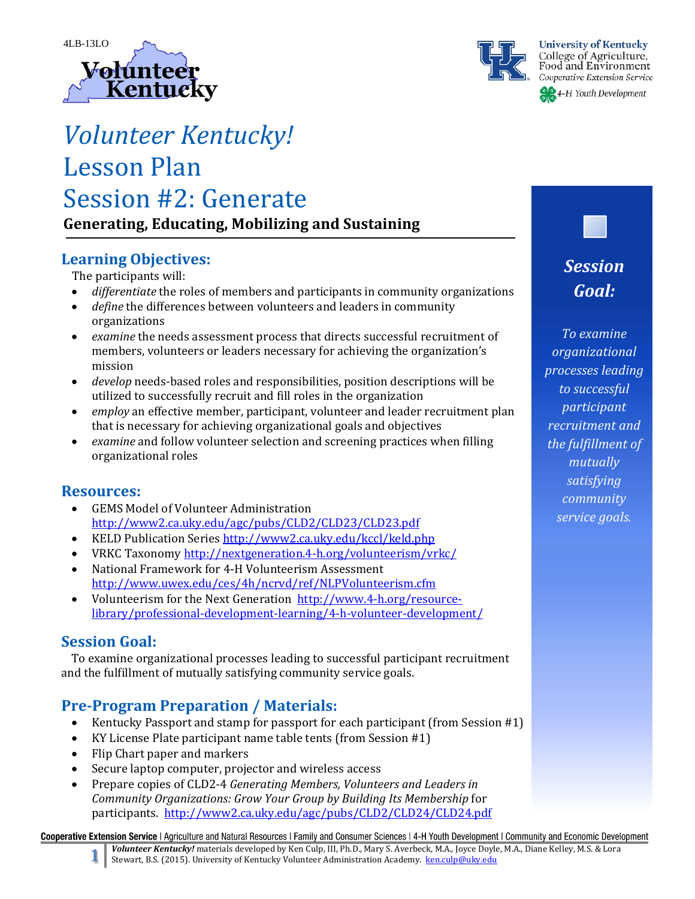



# *Volunteer Kentucky!* Lesson Plan Session #2: Generate

**Generating, Educating, Mobilizing and Sustaining**

### **Learning Objectives:**

The participants will:

- *differentiate* the roles of members and participants in community organizations
- *define* the differences between volunteers and leaders in community organizations
- *examine* the needs assessment process that directs successful recruitment of members, volunteers or leaders necessary for achieving the organization's mission
- *develop* needs-based roles and responsibilities, position descriptions will be utilized to successfully recruit and fill roles in the organization
- *employ* an effective member, participant, volunteer and leader recruitment plan that is necessary for achieving organizational goals and objectives
- *examine* and follow volunteer selection and screening practices when filling organizational roles

### **Resources:**

- GEMS Model of Volunteer Administration http://www2.ca.uky.edu/agc/pubs/CLD2/CLD23/CLD23.pdf
- KELD Publication Series http://www2.ca.uky.edu/kccl/keld.php
- VRKC Taxonomy http://nextgeneration.4-h.org/volunteerism/vrkc/
- National Framework for 4-H Volunteerism Assessment http://www.uwex.edu/ces/4h/ncrvd/ref/NLPVolunteerism.cfm
- Volunteerism for the Next Generation http://www.4-h.org/resourcelibrary/professional‐development‐learning/4‐h‐volunteer‐development/

### **Session Goal:**

To examine organizational processes leading to successful participant recruitment and the fulfillment of mutually satisfying community service goals.

### **Pre‐Program Preparation / Materials:**

- Kentucky Passport and stamp for passport for each participant (from Session #1)
- KY License Plate participant name table tents (from Session  $#1$ )
- Flip Chart paper and markers
- Secure laptop computer, projector and wireless access
- Prepare copies of CLD2-4 *Generating Members, Volunteers and Leaders in Community Organizations: Grow Your Group by Building Its Membership* for participants. http://www2.ca.uky.edu/agc/pubs/CLD2/CLD24/CLD24.pdf

Cooperative Extension Service | Agriculture and Natural Resources | Family and Consumer Sciences | 4-H Youth Development | Community and Economic Development

Volunteer Kentucky! materials developed by Ken Culp, III, Ph.D., Mary S. Averbeck, M.A., Joyce Doyle, M.A., Diane Kelley, M.S. & Lora Stewart, B.S. (2015). University of Kentucky Volunteer Administration Academy. ken.culp@uky.edu

## *Session Goal:*

*To examine organizational processes leading to successful participant recruitment and the fulfillment of mutually satisfying community service goals.*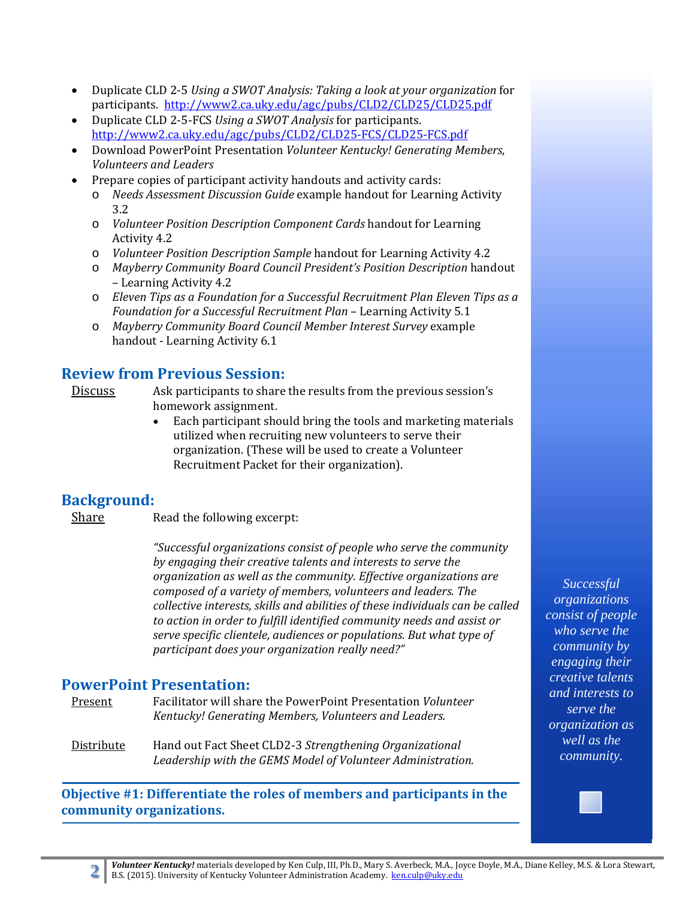- Duplicate CLD 2-5 *Using a SWOT Analysis: Taking a look at your organization* for participants. http://www2.ca.uky.edu/agc/pubs/CLD2/CLD25/CLD25.pdf
- Duplicate CLD 2-5-FCS Using a *SWOT Analysis* for participants. http://www2.ca.uky.edu/agc/pubs/CLD2/CLD25‐FCS/CLD25‐FCS.pdf
- Download PowerPoint Presentation *Volunteer Kentucky! Generating Members, Volunteers and Leaders*
- Prepare copies of participant activity handouts and activity cards:
	- o *Needs Assessment Discussion Guide* example handout for Learning Activity 3.2
	- o *Volunteer Position Description Component Cards* handout for Learning Activity 4.2
	- o *Volunteer Position Description Sample* handout for Learning Activity 4.2
	- o *Mayberry Community Board Council President's Position Description* handout – Learning Activity 4.2
	- o *Eleven Tips as a Foundation for a Successful Recruitment Plan Eleven Tips as a Foundation for a Successful Recruitment Plan* – Learning Activity 5.1
	- o *Mayberry Community Board Council Member Interest Survey* example handout - Learning Activity 6.1

### **Review from Previous Session:**

- Discuss Ask participants to share the results from the previous session's homework assignment.
	- Each participant should bring the tools and marketing materials utilized when recruiting new volunteers to serve their organization. (These will be used to create a Volunteer Recruitment Packet for their organization).

### **Background:**

Share Read the following excerpt:

*"Successful organizations consist of people who serve the community by engaging their creative talents and interests to serve the organization as well as the community. Effective organizations are composed of a variety of members, volunteers and leaders. The collective interests, skills and abilities of these individuals can be called to action in order to fulfill identified community needs and assist or serve specific clientele, audiences or populations. But what type of participant does your organization really need?"* 

### **PowerPoint Presentation:**

Present Facilitator will share the PowerPoint Presentation *Volunteer Kentucky! Generating Members, Volunteers and Leaders.*

Distribute Hand out Fact Sheet CLD2-3 *Strengthening Organizational Leadership with the GEMS Model of Volunteer Administration.*

**Objective #1: Differentiate the roles of members and participants in the community organizations.**

*Successful organizations consist of people who serve the community by engaging their creative talents and interests to serve the organization as well as the community.*

**Volunteer Kentucky!** materials developed by Ken Culp, III, Ph.D., Mary S. Averbeck, M.A., Joyce Doyle, M.A., Diane Kelley, M.S. & Lora Stewart, B.S. (2015). University of Kentucky Volunteer Administration Academy. ken.culp@uky.edu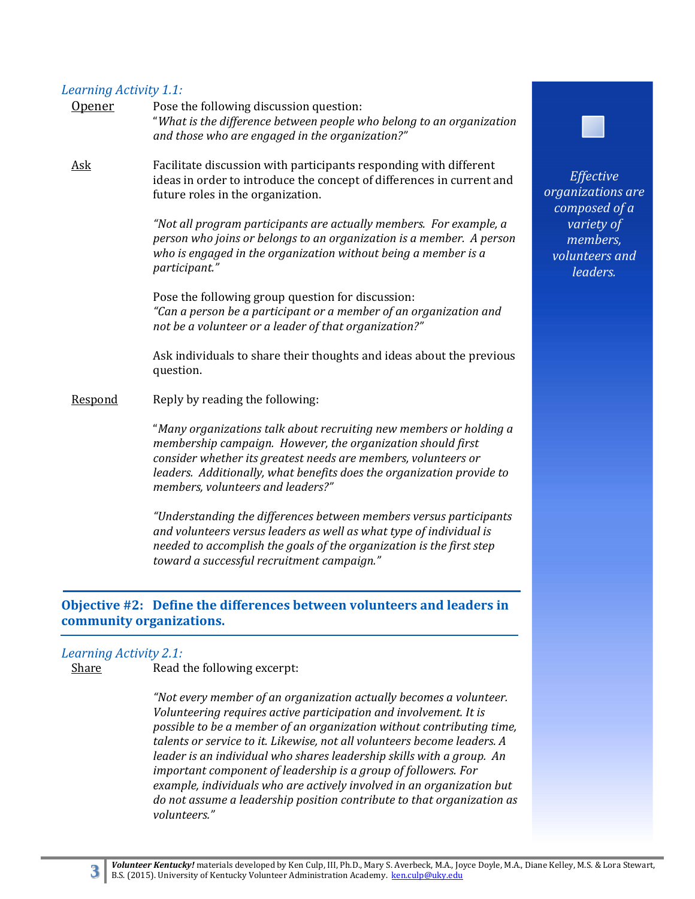#### *Learning Activity 1.1:*

| <u>Opener</u> | Pose the following discussion question:<br>"What is the difference between people who belong to an organization<br>and those who are engaged in the organization?"                                                                                                                                                |
|---------------|-------------------------------------------------------------------------------------------------------------------------------------------------------------------------------------------------------------------------------------------------------------------------------------------------------------------|
| <b>Ask</b>    | Facilitate discussion with participants responding with different<br>ideas in order to introduce the concept of differences in current and<br>future roles in the organization.                                                                                                                                   |
|               | "Not all program participants are actually members. For example, a<br>person who joins or belongs to an organization is a member. A person<br>who is engaged in the organization without being a member is a<br>participant."                                                                                     |
|               | Pose the following group question for discussion:<br>"Can a person be a participant or a member of an organization and<br>not be a volunteer or a leader of that organization?"                                                                                                                                   |
|               | Ask individuals to share their thoughts and ideas about the previous<br>question.                                                                                                                                                                                                                                 |
| Respond       | Reply by reading the following:                                                                                                                                                                                                                                                                                   |
|               | "Many organizations talk about recruiting new members or holding a<br>membership campaign. However, the organization should first<br>consider whether its greatest needs are members, volunteers or<br>leaders. Additionally, what benefits does the organization provide to<br>members, volunteers and leaders?" |
|               | "Understanding the differences between members versus participants<br>and volunteers versus leaders as well as what type of individual is<br>needed to accomplish the goals of the organization is the first step<br>toward a successful recruitment campaign."                                                   |

### **Objective #2: Define the differences between volunteers and leaders in community organizations.**

#### *Learning Activity 2.1:*

Share **Read the following excerpt:** 

*"Not every member of an organization actually becomes a volunteer. Volunteering requires active participation and involvement. It is possible to be a member of an organization without contributing time, talents or service to it. Likewise, not all volunteers become leaders. A leader is an individual who shares leadership skills with a group. An important component of leadership is a group of followers. For example, individuals who are actively involved in an organization but do not assume a leadership position contribute to that organization as volunteers."*



*Effective organizations are composed of a variety of members, volunteers and leaders.*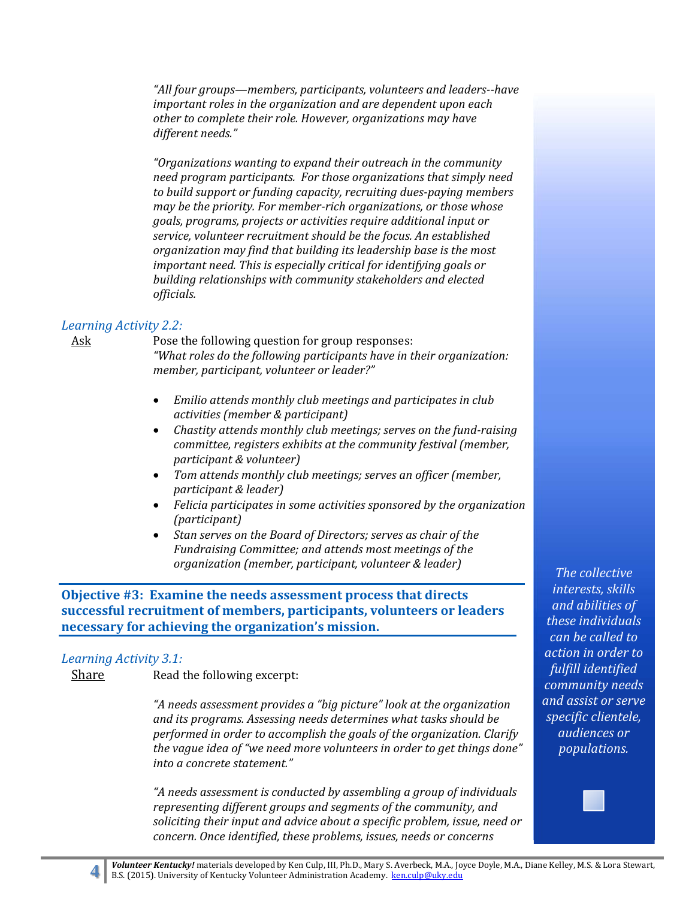*"All four groups—members, participants, volunteers and leaders‐‐have important roles in the organization and are dependent upon each other to complete their role. However, organizations may have different needs."* 

*"Organizations wanting to expand their outreach in the community need program participants. For those organizations that simply need to build support or funding capacity, recruiting dues‐paying members may be the priority. For member‐rich organizations, or those whose goals, programs, projects or activities require additional input or service, volunteer recruitment should be the focus. An established organization may find that building its leadership base is the most important need. This is especially critical for identifying goals or building relationships with community stakeholders and elected officials.*

#### *Learning Activity 2.2:*

Ask Bose the following question for group responses: *"What roles do the following participants have in their organization: member, participant, volunteer or leader?"*

- *Emilio attends monthly club meetings and participates in club activities (member & participant)*
- *Chastity attends monthly club meetings; serves on the fund‐raising committee, registers exhibits at the community festival (member, participant & volunteer)*
- *Tom attends monthly club meetings; serves an officer (member, participant & leader)*
- *Felicia participates in some activities sponsored by the organization (participant)*
- *Stan serves on the Board of Directors; serves as chair of the Fundraising Committee; and attends most meetings of the organization (member, participant, volunteer & leader)*

#### **Objective #3: Examine the needs assessment process that directs successful recruitment of members, participants, volunteers or leaders necessary for achieving the organization's mission.**

#### *Learning Activity 3.1:*

Share Read the following excerpt:

*"A needs assessment provides a "big picture" look at the organization and its programs. Assessing needs determines what tasks should be performed in order to accomplish the goals of the organization. Clarify the vague idea of "we need more volunteers in order to get things done" into a concrete statement."*

*"A needs assessment is conducted by assembling a group of individuals representing different groups and segments of the community, and soliciting their input and advice about a specific problem, issue, need or concern. Once identified, these problems, issues, needs or concerns*

*The collective interests, skills and abilities of these individuals can be called to action in order to fulfill identified community needs and assist or serve specific clientele, audiences or populations.*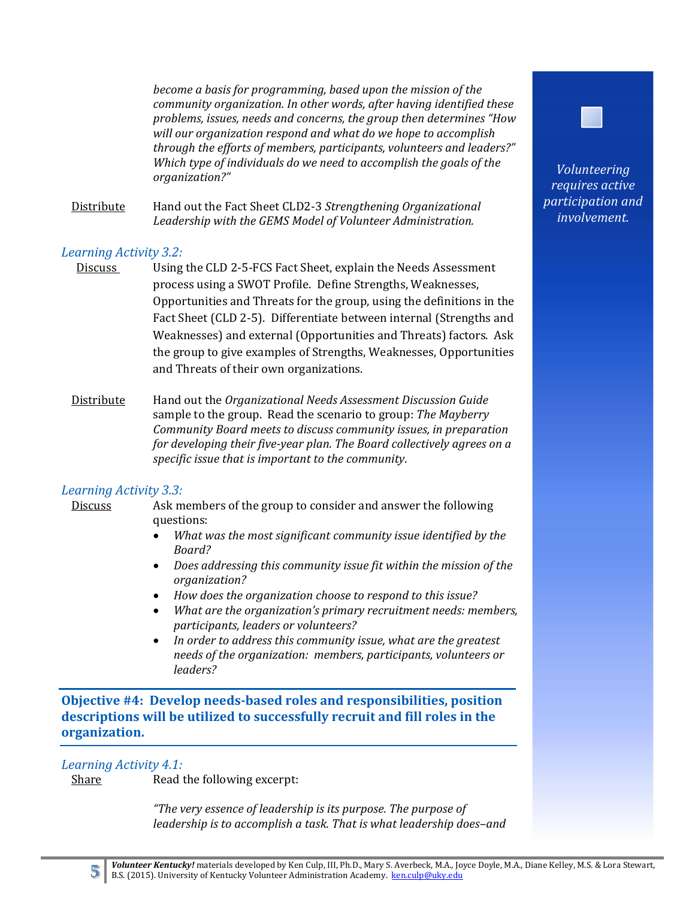*become a basis for programming, based upon the mission of the community organization. In other words, after having identified these problems, issues, needs and concerns, the group then determines "How will our organization respond and what do we hope to accomplish through the efforts of members, participants, volunteers and leaders?" Which type of individuals do we need to accomplish the goals of the organization?"*

Distribute Hand out the Fact Sheet CLD2-3 Strengthening Organizational *Leadership with the GEMS Model of Volunteer Administration.*

#### *Learning Activity 3.2:*

- Discuss Using the CLD 2-5-FCS Fact Sheet, explain the Needs Assessment process using a SWOT Profile. Define Strengths, Weaknesses, Opportunities and Threats for the group, using the definitions in the Fact Sheet (CLD 2-5). Differentiate between internal (Strengths and Weaknesses) and external (Opportunities and Threats) factors. Ask the group to give examples of Strengths, Weaknesses, Opportunities and Threats of their own organizations.
- Distribute Hand out the *Organizational Needs Assessment Discussion Guide* sample to the group. Read the scenario to group: *The Mayberry Community Board meets to discuss community issues, in preparation for developing their five‐year plan. The Board collectively agrees on a specific issue that is important to the community*.

#### *Learning Activity 3.3:*

Discuss Ask members of the group to consider and answer the following questions: 

- *What was the most significant community issue identified by the Board?*
- *Does addressing this community issue fit within the mission of the organization?*
- *How does the organization choose to respond to this issue?*
- *What are the organization's primary recruitment needs: members, participants, leaders or volunteers?*
- *In order to address this community issue, what are the greatest needs of the organization: members, participants, volunteers or leaders?*

**Objective #4: Develop needs‐based roles and responsibilities, position descriptions will be utilized to successfully recruit and fill roles in the organization.**

#### *Learning Activity 4.1:*

Share **Read the following excerpt:** 

*"The very essence of leadership is its purpose. The purpose of leadership is to accomplish a task. That is what leadership does–and*



*Volunteering requires active participation and involvement.*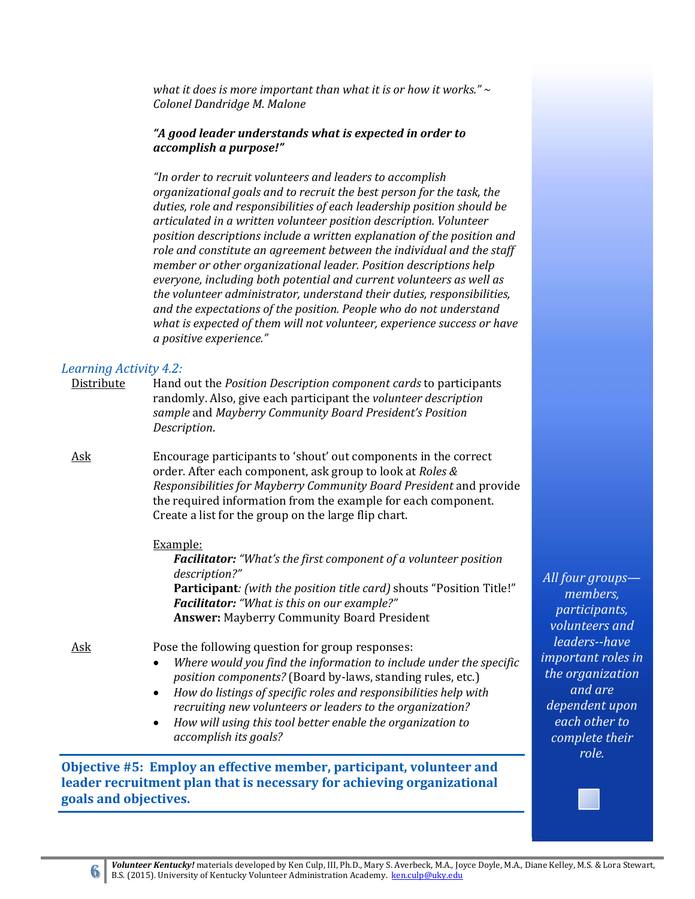*what it does is more important than what it is or how it works." ~ Colonel Dandridge M. Malone*

#### *"A good leader understands what is expected in order to accomplish a purpose!"*

*"In order to recruit volunteers and leaders to accomplish organizational goals and to recruit the best person for the task, the duties, role and responsibilities of each leadership position should be articulated in a written volunteer position description. Volunteer position descriptions include a written explanation of the position and role and constitute an agreement between the individual and the staff member or other organizational leader. Position descriptions help everyone, including both potential and current volunteers as well as the volunteer administrator, understand their duties, responsibilities, and the expectations of the position. People who do not understand what is expected of them will not volunteer, experience success or have a positive experience."* 

#### *Learning Activity 4.2:*

| Distribute | Hand out the <i>Position Description component cards</i> to participants |
|------------|--------------------------------------------------------------------------|
|            | randomly. Also, give each participant the <i>volunteer description</i>   |
|            | sample and Mayberry Community Board President's Position                 |
|            | Description.                                                             |
|            |                                                                          |

Ask Encourage participants to 'shout' out components in the correct order. After each component, ask group to look at *Roles* & *Responsibilities for Mayberry Community Board President* and provide the required information from the example for each component. Create a list for the group on the large flip chart.

#### Example:

*Facilitator: "What's the first component of a volunteer position description?"* **Participant***: (with the position title card)* shouts "Position Title!" *Facilitator: "What is this on our example?"* Answer: Mayberry Community Board President

- Ask *Ask* Pose the following question for group responses:
	- *Where would you find the information to include under the specific position components?* (Board by-laws, standing rules, etc.)
	- *How do listings of specific roles and responsibilities help with recruiting new volunteers or leaders to the organization?*
	- *How will using this tool better enable the organization to accomplish its goals?*

**Objective #5: Employ an effective member, participant, volunteer and leader recruitment plan that is necessary for achieving organizational goals and objectives.** 

*All four groups members, participants, volunteers and leaders‐‐have important roles in the organization and are dependent upon each other to complete their role.*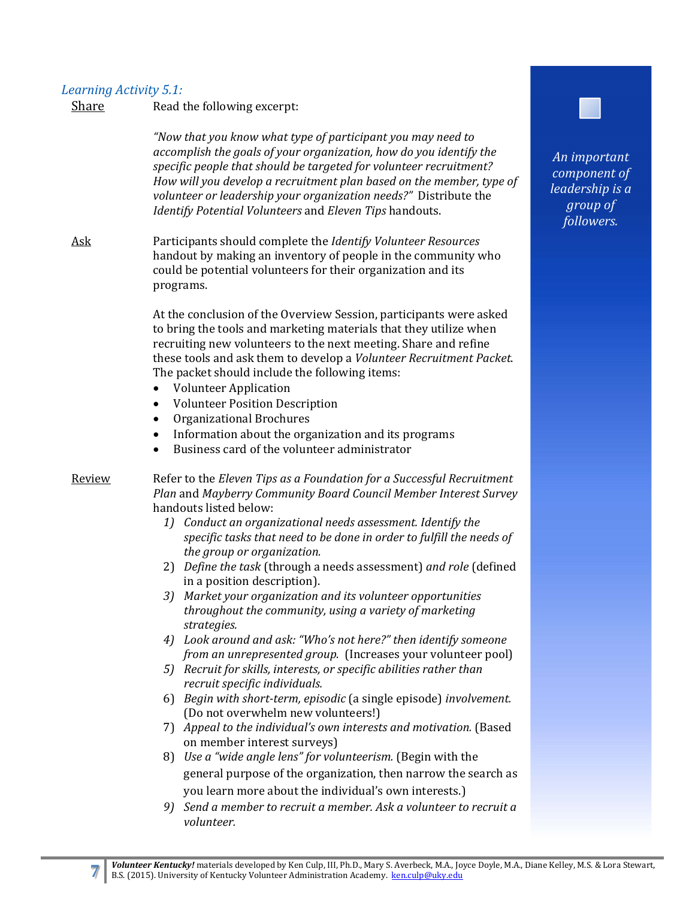### *Learning Activity 5.1:*

| Share         | Read the following excerpt:                                                                                                                                                                                                                                                                                                                                                                                    |
|---------------|----------------------------------------------------------------------------------------------------------------------------------------------------------------------------------------------------------------------------------------------------------------------------------------------------------------------------------------------------------------------------------------------------------------|
|               | "Now that you know what type of participant you may need to<br>accomplish the goals of your organization, how do you identify the<br>specific people that should be targeted for volunteer recruitment?<br>How will you develop a recruitment plan based on the member, type of<br>volunteer or leadership your organization needs?" Distribute the<br>Identify Potential Volunteers and Eleven Tips handouts. |
| Ask           | Participants should complete the Identify Volunteer Resources<br>handout by making an inventory of people in the community who<br>could be potential volunteers for their organization and its<br>programs.                                                                                                                                                                                                    |
|               | At the conclusion of the Overview Session, participants were asked<br>to bring the tools and marketing materials that they utilize when<br>recruiting new volunteers to the next meeting. Share and refine<br>these tools and ask them to develop a Volunteer Recruitment Packet.<br>The packet should include the following items:<br><b>Volunteer Application</b>                                            |
|               | <b>Volunteer Position Description</b><br>$\bullet$                                                                                                                                                                                                                                                                                                                                                             |
|               | Organizational Brochures<br>$\bullet$                                                                                                                                                                                                                                                                                                                                                                          |
|               | Information about the organization and its programs<br>$\bullet$<br>Business card of the volunteer administrator                                                                                                                                                                                                                                                                                               |
| <u>Review</u> | Refer to the Eleven Tips as a Foundation for a Successful Recruitment<br>Plan and Mayberry Community Board Council Member Interest Survey<br>handouts listed below:                                                                                                                                                                                                                                            |
|               | 1) Conduct an organizational needs assessment. Identify the<br>specific tasks that need to be done in order to fulfill the needs of                                                                                                                                                                                                                                                                            |
|               |                                                                                                                                                                                                                                                                                                                                                                                                                |
|               | the group or organization.<br>Define the task (through a needs assessment) and role (defined<br>2)                                                                                                                                                                                                                                                                                                             |
|               | in a position description).<br>3) Market your organization and its volunteer opportunities<br>throughout the community, using a variety of marketing<br>strategies.                                                                                                                                                                                                                                            |
|               | Look around and ask: "Who's not here?" then identify someone<br>4)                                                                                                                                                                                                                                                                                                                                             |
|               | <i>from an unrepresented group.</i> (Increases your volunteer pool)<br>5) Recruit for skills, interests, or specific abilities rather than                                                                                                                                                                                                                                                                     |
|               | recruit specific individuals.<br>6) Begin with short-term, episodic (a single episode) involvement.                                                                                                                                                                                                                                                                                                            |
|               | (Do not overwhelm new volunteers!)<br>Appeal to the individual's own interests and motivation. (Based<br>7)                                                                                                                                                                                                                                                                                                    |
|               | on member interest surveys)                                                                                                                                                                                                                                                                                                                                                                                    |
|               | Use a "wide angle lens" for volunteerism. (Begin with the<br>8)                                                                                                                                                                                                                                                                                                                                                |
|               | general purpose of the organization, then narrow the search as                                                                                                                                                                                                                                                                                                                                                 |
|               | you learn more about the individual's own interests.)<br>Send a member to recruit a member. Ask a volunteer to recruit a<br>9)                                                                                                                                                                                                                                                                                 |

*An important component of leadership is a group of followers.*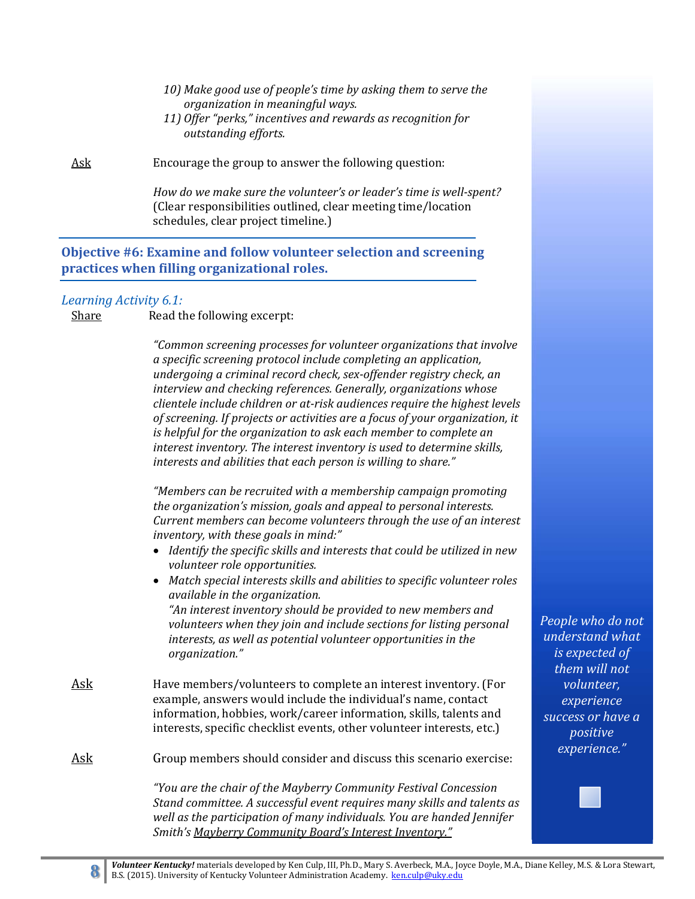- *10) Make good use of people's time by asking them to serve the organization in meaningful ways.*
- *11) Offer "perks," incentives and rewards as recognition for outstanding efforts.*

Ask Encourage the group to answer the following question:

*How do we make sure the volunteer's or leader's time is well‐spent?* (Clear responsibilities outlined, clear meeting time/location schedules, clear project timeline.)

#### **Objective #6: Examine and follow volunteer selection and screening practices when filling organizational roles.**

#### *Learning Activity 6.1:*

Share Read the following excerpt:

*"Common screening processes for volunteer organizations that involve a specific screening protocol include completing an application, undergoing a criminal record check, sex‐offender registry check, an interview and checking references. Generally, organizations whose clientele include children or at‐risk audiences require the highest levels of screening. If projects or activities are a focus of your organization, it is helpful for the organization to ask each member to complete an interest inventory. The interest inventory is used to determine skills, interests and abilities that each person is willing to share."*

*"Members can be recruited with a membership campaign promoting the organization's mission, goals and appeal to personal interests. Current members can become volunteers through the use of an interest inventory, with these goals in mind:"* 

- *Identify the specific skills and interests that could be utilized in new volunteer role opportunities.*
- *Match special interests skills and abilities to specific volunteer roles available in the organization. "An interest inventory should be provided to new members and volunteers when they join and include sections for listing personal interests, as well as potential volunteer opportunities in the organization."*
- Ask Have members/volunteers to complete an interest inventory. (For example, answers would include the individual's name, contact information, hobbies, work/career information, skills, talents and interests, specific checklist events, other volunteer interests, etc.)

Ask Group members should consider and discuss this scenario exercise:

*"You are the chair of the Mayberry Community Festival Concession Stand committee. A successful event requires many skills and talents as well as the participation of many individuals. You are handed Jennifer Smith's Mayberry Community Board's Interest Inventory."*

*People who do not understand what is expected of them will not volunteer, experience success or have a positive experience."*

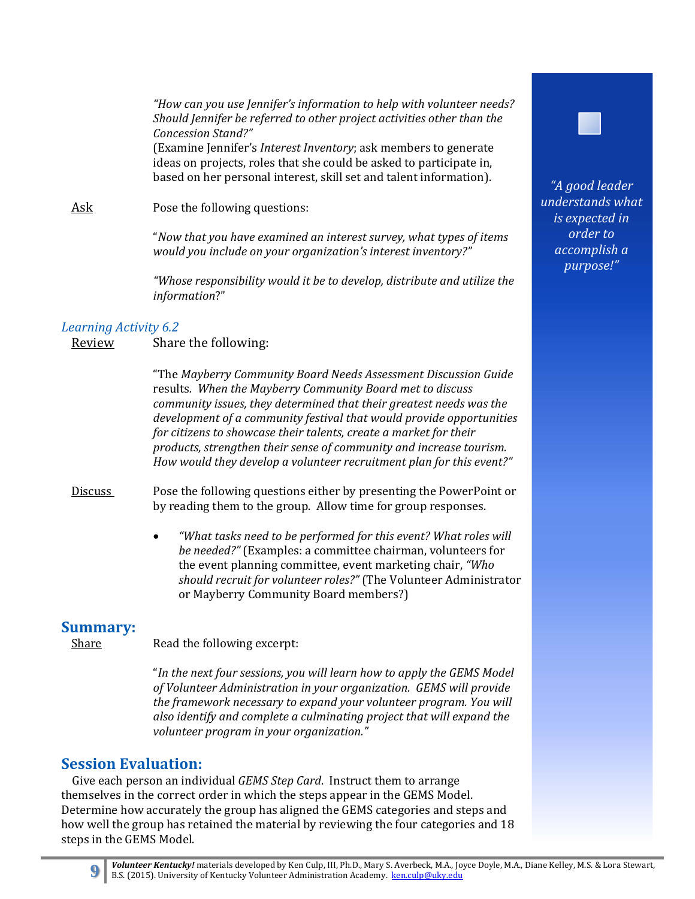*"How can you use Jennifer's information to help with volunteer needs? Should Jennifer be referred to other project activities other than the Concession Stand?"*

(Examine Jennifer's *Interest Inventory*; ask members to generate ideas on projects, roles that she could be asked to participate in, based on her personal interest, skill set and talent information).

Ask Pose the following questions:

"*Now that you have examined an interest survey, what types of items would you include on your organization's interest inventory?"*

*"Whose responsibility would it be to develop, distribute and utilize the information*?" 

#### *Learning Activity 6.2*

Review Share the following:

"The *Mayberry Community Board Needs Assessment Discussion Guide* results*. When the Mayberry Community Board met to discuss community issues, they determined that their greatest needs was the development of a community festival that would provide opportunities for citizens to showcase their talents, create a market for their products, strengthen their sense of community and increase tourism. How would they develop a volunteer recruitment plan for this event?"* 

Discuss Pose the following questions either by presenting the PowerPoint or by reading them to the group. Allow time for group responses.

> *"What tasks need to be performed for this event? What roles will be* needed?" (Examples: a committee chairman, volunteers for the event planning committee, event marketing chair, "Who *should recruit for volunteer roles?"* (The Volunteer Administrator or Mayberry Community Board members?)

**Summary:**<br>
Share Read the following excerpt:

"*In the next four sessions, you will learn how to apply the GEMS Model of Volunteer Administration in your organization. GEMS will provide the framework necessary to expand your volunteer program. You will also identify and complete a culminating project that will expand the volunteer program in your organization."*

#### **Session Evaluation:**

Give each person an individual *GEMS Step Card*. Instruct them to arrange themselves in the correct order in which the steps appear in the GEMS Model. Determine how accurately the group has aligned the GEMS categories and steps and how well the group has retained the material by reviewing the four categories and 18 steps in the GEMS Model.





*"A good leader understands what is expected in order to accomplish a purpose!"*